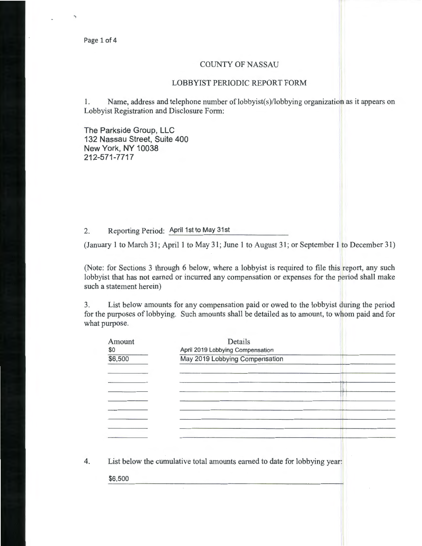## COUNTY OF NASSAU

## LOBBYIST PERIODIC REPORT FORM

1. Name, address and telephone number of lobbyist(s)/lobbying organization as it appears on Lobbyist Registration and Disclosure Form:

The Parkside Group, LLC 132 Nassau Street, Suite 400 New York, NY 10038 212-571-7717

2. Reporting Period: April 1st to May 31st

(January 1 to March 31; April 1 to May 31; June 1 to August 31; or September 1 to December 31)

(Note: for Sections 3 through 6 below, where a lobbyist is required to file this report, any such lobbyist that has not earned or incurred any compensation or expenses for the period shall make such a statement herein)

3. List below amounts for any compensation paid or owed to the lobbyist during the period for the purposes of lobbying. Such amounts shall be detailed as to amount, to whom paid and for what purpose.

| Amount<br>\$0 | April 2019 Lobbying Compensation                                          |
|---------------|---------------------------------------------------------------------------|
| \$6,500       | May 2019 Lobbying Compensation                                            |
|               |                                                                           |
|               |                                                                           |
|               |                                                                           |
|               |                                                                           |
|               |                                                                           |
|               |                                                                           |
|               |                                                                           |
|               |                                                                           |
|               |                                                                           |
|               | List below the cumulative total amounts earned to date for lobbying year: |
| \$6,500       |                                                                           |
|               |                                                                           |
|               |                                                                           |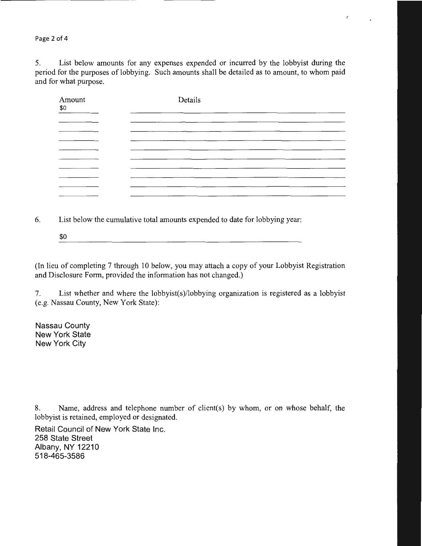Page 2 of 4

5. List below amounts for any expenses expended or incurred by the lobbyist during the period for the purposes of lobbying. Such amounts shall be detailed as to amount, to whom paid and for what purpose.

ť

| Amount<br>\$0 | Details |
|---------------|---------|
|               |         |
|               |         |
|               |         |
|               |         |
|               |         |
|               |         |
| ______        |         |
|               |         |

6. List below the cumulative total amounts expended to date for lobbying year:

\$0 

(In lieu of completing 7 through 10 below, you may attach a copy of your Lobbyist Registration and Disclosure Form, provided the information has not changed.)

7. List whether and where the lobbyist(s)/lobbying organization is registered as a lobbyist (e.g. Nassau County, New York State):

Nassau County New York State New York City

8. Name, address and telephone number of client(s) by whom, or on whose behalf, the lobbyist is retained, employed or designated.

Retail Council of New York State Inc. 258 State Street Albany, NY 12210 518-465-3586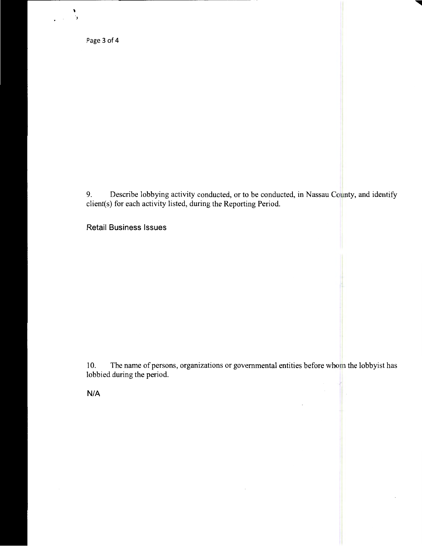Page 3 of 4

' )

9. Describe lobbying activity conducted, or to be conducted, in Nassau County, and identify client(s) for each activity listed, during the Reporting Period.

Retail Business Issues

10. The name of persons, organizations or governmental entities before whom the lobbyist has lobbied during the period.

N/A